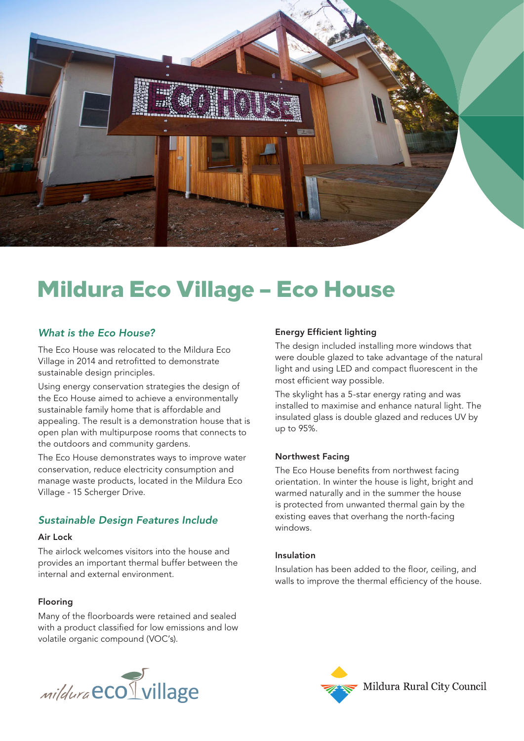

# Mildura Eco Village – Eco House

## *What is the Eco House?*

The Eco House was relocated to the Mildura Eco Village in 2014 and retrofitted to demonstrate sustainable design principles.

Using energy conservation strategies the design of the Eco House aimed to achieve a environmentally sustainable family home that is affordable and appealing. The result is a demonstration house that is open plan with multipurpose rooms that connects to the outdoors and community gardens.

The Eco House demonstrates ways to improve water conservation, reduce electricity consumption and manage waste products, located in the Mildura Eco Village - 15 Scherger Drive.

# *Sustainable Design Features Include*

#### Air Lock

The airlock welcomes visitors into the house and provides an important thermal buffer between the internal and external environment.

## Flooring

Many of the floorboards were retained and sealed with a product classified for low emissions and low volatile organic compound (VOC's).



## Energy Efficient lighting

The design included installing more windows that were double glazed to take advantage of the natural light and using LED and compact fluorescent in the most efficient way possible.

The skylight has a 5-star energy rating and was installed to maximise and enhance natural light. The insulated glass is double glazed and reduces UV by up to 95%.

## Northwest Facing

The Eco House benefits from northwest facing orientation. In winter the house is light, bright and warmed naturally and in the summer the house is protected from unwanted thermal gain by the existing eaves that overhang the north-facing windows.

#### Insulation

Insulation has been added to the floor, ceiling, and walls to improve the thermal efficiency of the house.